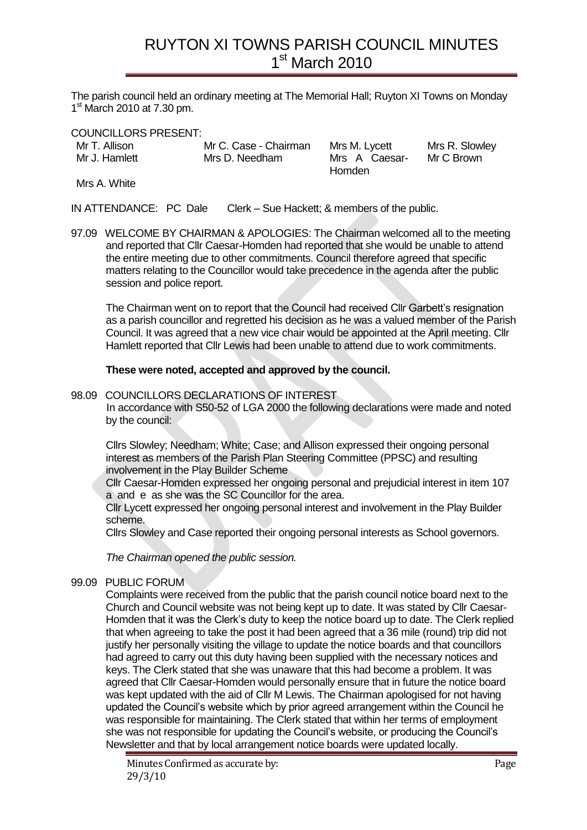The parish council held an ordinary meeting at The Memorial Hall; Ruyton XI Towns on Monday 1<sup>st</sup> March 2010 at 7.30 pm.

COUNCILLORS PRESENT:

| Mr T. Allison | Mr C. Case - Chairman | Mrs M. Lycett | Mrs R. Slowley |
|---------------|-----------------------|---------------|----------------|
| Mr J. Hamlett | Mrs D. Needham        | Mrs A Caesar- | Mr C Brown     |
|               |                       | Homden        |                |

Mrs A. White

IN ATTENDANCE: PC Dale Clerk – Sue Hackett; & members of the public.

97.09 WELCOME BY CHAIRMAN & APOLOGIES: The Chairman welcomed all to the meeting and reported that Cllr Caesar-Homden had reported that she would be unable to attend the entire meeting due to other commitments. Council therefore agreed that specific matters relating to the Councillor would take precedence in the agenda after the public session and police report.

The Chairman went on to report that the Council had received Cllr Garbett's resignation as a parish councillor and regretted his decision as he was a valued member of the Parish Council. It was agreed that a new vice chair would be appointed at the April meeting. Cllr Hamlett reported that Cllr Lewis had been unable to attend due to work commitments.

#### **These were noted, accepted and approved by the council.**

98.09 COUNCILLORS DECLARATIONS OF INTEREST In accordance with S50-52 of LGA 2000 the following declarations were made and noted by the council:

Cllrs Slowley; Needham; White; Case; and Allison expressed their ongoing personal interest as members of the Parish Plan Steering Committee (PPSC) and resulting involvement in the Play Builder Scheme

Cllr Caesar-Homden expressed her ongoing personal and prejudicial interest in item 107 a and e as she was the SC Councillor for the area.

Cllr Lycett expressed her ongoing personal interest and involvement in the Play Builder scheme.

Cllrs Slowley and Case reported their ongoing personal interests as School governors.

*The Chairman opened the public session.* 

#### 99.09 PUBLIC FORUM

Complaints were received from the public that the parish council notice board next to the Church and Council website was not being kept up to date. It was stated by Cllr Caesar-Homden that it was the Clerk's duty to keep the notice board up to date. The Clerk replied that when agreeing to take the post it had been agreed that a 36 mile (round) trip did not justify her personally visiting the village to update the notice boards and that councillors had agreed to carry out this duty having been supplied with the necessary notices and keys. The Clerk stated that she was unaware that this had become a problem. It was agreed that Cllr Caesar-Homden would personally ensure that in future the notice board was kept updated with the aid of Cllr M Lewis. The Chairman apologised for not having updated the Council's website which by prior agreed arrangement within the Council he was responsible for maintaining. The Clerk stated that within her terms of employment she was not responsible for updating the Council's website, or producing the Council's Newsletter and that by local arrangement notice boards were updated locally.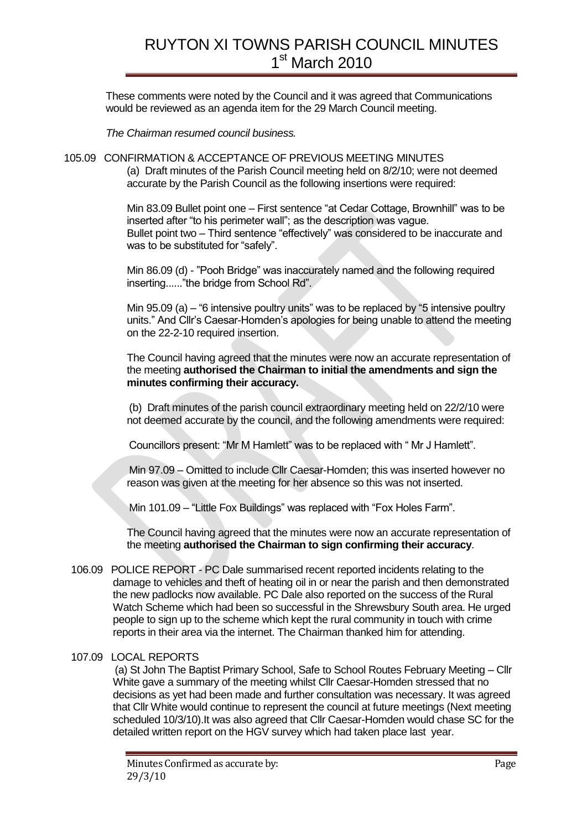These comments were noted by the Council and it was agreed that Communications would be reviewed as an agenda item for the 29 March Council meeting.

*The Chairman resumed council business.* 

105.09 CONFIRMATION & ACCEPTANCE OF PREVIOUS MEETING MINUTES (a) Draft minutes of the Parish Council meeting held on 8/2/10; were not deemed accurate by the Parish Council as the following insertions were required:

> Min 83.09 Bullet point one – First sentence "at Cedar Cottage, Brownhill" was to be inserted after "to his perimeter wall"; as the description was vague. Bullet point two – Third sentence "effectively" was considered to be inaccurate and was to be substituted for "safely".

Min 86.09 (d) - "Pooh Bridge" was inaccurately named and the following required inserting......"the bridge from School Rd".

Min 95.09 (a) – "6 intensive poultry units" was to be replaced by "5 intensive poultry units." And Cllr's Caesar-Homden's apologies for being unable to attend the meeting on the 22-2-10 required insertion.

The Council having agreed that the minutes were now an accurate representation of the meeting **authorised the Chairman to initial the amendments and sign the minutes confirming their accuracy.**

(b) Draft minutes of the parish council extraordinary meeting held on 22/2/10 were not deemed accurate by the council, and the following amendments were required:

Councillors present: "Mr M Hamlett" was to be replaced with " Mr J Hamlett".

Min 97.09 – Omitted to include Cllr Caesar-Homden; this was inserted however no reason was given at the meeting for her absence so this was not inserted.

Min 101.09 – "Little Fox Buildings" was replaced with "Fox Holes Farm".

The Council having agreed that the minutes were now an accurate representation of the meeting **authorised the Chairman to sign confirming their accuracy**.

- 106.09 POLICE REPORT PC Dale summarised recent reported incidents relating to the damage to vehicles and theft of heating oil in or near the parish and then demonstrated the new padlocks now available. PC Dale also reported on the success of the Rural Watch Scheme which had been so successful in the Shrewsbury South area. He urged people to sign up to the scheme which kept the rural community in touch with crime reports in their area via the internet. The Chairman thanked him for attending.
- 107.09 LOCAL REPORTS

 (a) St John The Baptist Primary School, Safe to School Routes February Meeting – Cllr White gave a summary of the meeting whilst Cllr Caesar-Homden stressed that no decisions as yet had been made and further consultation was necessary. It was agreed that Cllr White would continue to represent the council at future meetings (Next meeting scheduled 10/3/10).It was also agreed that Cllr Caesar-Homden would chase SC for the detailed written report on the HGV survey which had taken place last year.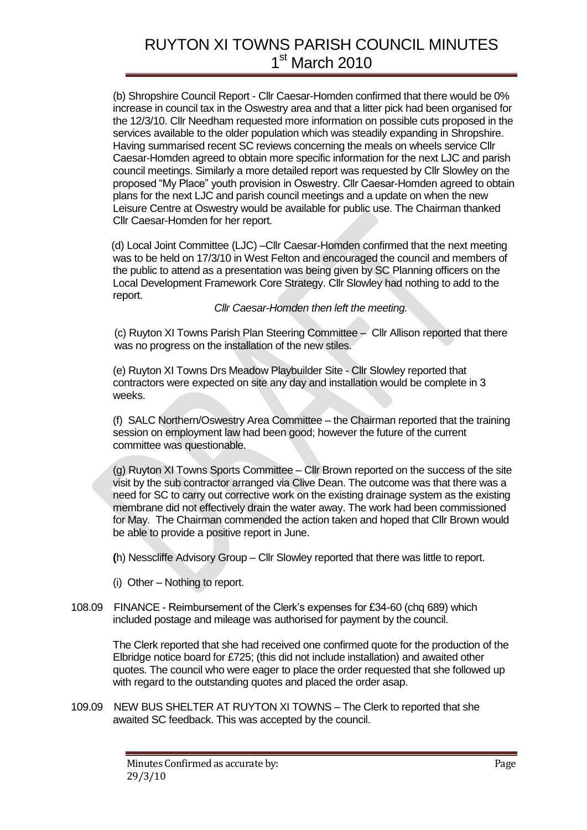(b) Shropshire Council Report - Cllr Caesar-Homden confirmed that there would be 0% increase in council tax in the Oswestry area and that a litter pick had been organised for the 12/3/10. Cllr Needham requested more information on possible cuts proposed in the services available to the older population which was steadily expanding in Shropshire. Having summarised recent SC reviews concerning the meals on wheels service Cllr Caesar-Homden agreed to obtain more specific information for the next LJC and parish council meetings. Similarly a more detailed report was requested by Cllr Slowley on the proposed "My Place" youth provision in Oswestry. Cllr Caesar-Homden agreed to obtain plans for the next LJC and parish council meetings and a update on when the new Leisure Centre at Oswestry would be available for public use. The Chairman thanked Cllr Caesar-Homden for her report.

 (d) Local Joint Committee (LJC) –Cllr Caesar-Homden confirmed that the next meeting was to be held on 17/3/10 in West Felton and encouraged the council and members of the public to attend as a presentation was being given by SC Planning officers on the Local Development Framework Core Strategy. Cllr Slowley had nothing to add to the report.

*Cllr Caesar-Homden then left the meeting.*

 (c) Ruyton XI Towns Parish Plan Steering Committee – Cllr Allison reported that there was no progress on the installation of the new stiles.

(e) Ruyton XI Towns Drs Meadow Playbuilder Site - Cllr Slowley reported that contractors were expected on site any day and installation would be complete in 3 weeks.

(f) SALC Northern/Oswestry Area Committee – the Chairman reported that the training session on employment law had been good; however the future of the current committee was questionable.

(g) Ruyton XI Towns Sports Committee – Cllr Brown reported on the success of the site visit by the sub contractor arranged via Clive Dean. The outcome was that there was a need for SC to carry out corrective work on the existing drainage system as the existing membrane did not effectively drain the water away. The work had been commissioned for May. The Chairman commended the action taken and hoped that Cllr Brown would be able to provide a positive report in June.

**(**h) Nesscliffe Advisory Group – Cllr Slowley reported that there was little to report.

- (i) Other Nothing to report.
- 108.09 FINANCE Reimbursement of the Clerk's expenses for £34-60 (chq 689) which included postage and mileage was authorised for payment by the council.

The Clerk reported that she had received one confirmed quote for the production of the Elbridge notice board for £725; (this did not include installation) and awaited other quotes. The council who were eager to place the order requested that she followed up with regard to the outstanding quotes and placed the order asap.

109.09 NEW BUS SHELTER AT RUYTON XI TOWNS – The Clerk to reported that she awaited SC feedback. This was accepted by the council.